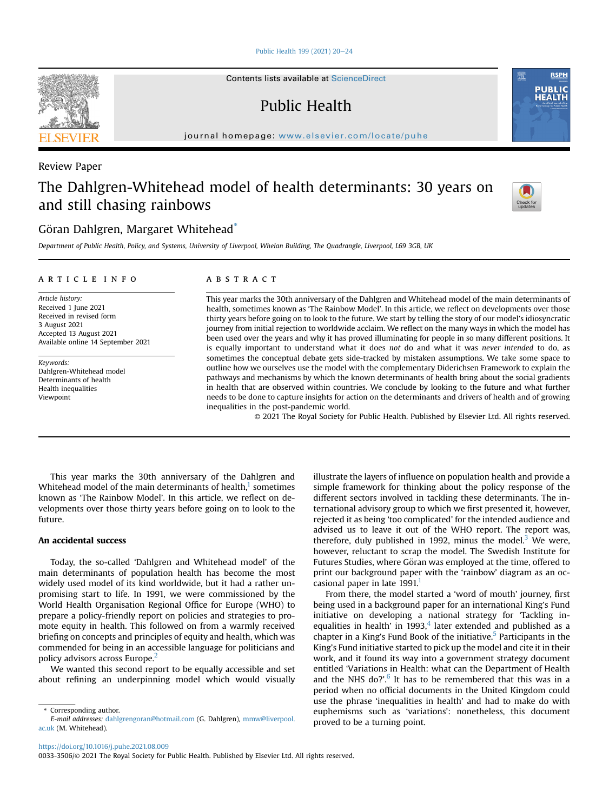[Public Health 199 \(2021\) 20](https://doi.org/10.1016/j.puhe.2021.08.009)-[24](https://doi.org/10.1016/j.puhe.2021.08.009)

Contents lists available at ScienceDirect

Public Health

journal homepage: [www.elsevier.com/locate/puhe](http://www.elsevier.com/locate/puhe)

# Review Paper

# The Dahlgren-Whitehead model of health determinants: 30 years on and still chasing rainbows



Department of Public Health, Policy, and Systems, University of Liverpool, Whelan Building, The Quadrangle, Liverpool, L69 3GB, UK

# article info

Article history: Received 1 June 2021 Received in revised form 3 August 2021 Accepted 13 August 2021 Available online 14 September 2021

Keywords: Dahlgren-Whitehead model Determinants of health Health inequalities Viewpoint

# **ABSTRACT**

This year marks the 30th anniversary of the Dahlgren and Whitehead model of the main determinants of health, sometimes known as 'The Rainbow Model'. In this article, we reflect on developments over those thirty years before going on to look to the future. We start by telling the story of our model's idiosyncratic journey from initial rejection to worldwide acclaim. We reflect on the many ways in which the model has been used over the years and why it has proved illuminating for people in so many different positions. It is equally important to understand what it does not do and what it was never intended to do, as sometimes the conceptual debate gets side-tracked by mistaken assumptions. We take some space to outline how we ourselves use the model with the complementary Diderichsen Framework to explain the pathways and mechanisms by which the known determinants of health bring about the social gradients in health that are observed within countries. We conclude by looking to the future and what further needs to be done to capture insights for action on the determinants and drivers of health and of growing inequalities in the post-pandemic world.

© 2021 The Royal Society for Public Health. Published by Elsevier Ltd. All rights reserved.

This year marks the 30th anniversary of the Dahlgren and Whitehead model of the main determinants of health, $1$  sometimes known as 'The Rainbow Model'. In this article, we reflect on developments over those thirty years before going on to look to the future.

# An accidental success

Today, the so-called 'Dahlgren and Whitehead model' of the main determinants of population health has become the most widely used model of its kind worldwide, but it had a rather unpromising start to life. In 1991, we were commissioned by the World Health Organisation Regional Office for Europe (WHO) to prepare a policy-friendly report on policies and strategies to promote equity in health. This followed on from a warmly received briefing on concepts and principles of equity and health, which was commended for being in an accessible language for politicians and policy advisors across Europe.[2](#page-3-1)

We wanted this second report to be equally accessible and set about refining an underpinning model which would visually

illustrate the layers of influence on population health and provide a simple framework for thinking about the policy response of the different sectors involved in tackling these determinants. The international advisory group to which we first presented it, however, rejected it as being 'too complicated' for the intended audience and advised us to leave it out of the WHO report. The report was, therefore, duly published in 1992, minus the model.<sup>[3](#page-3-2)</sup> We were, however, reluctant to scrap the model. The Swedish Institute for Futures Studies, where Göran was employed at the time, offered to print our background paper with the 'rainbow' diagram as an occasional paper in late  $1991<sup>1</sup>$ 

From there, the model started a 'word of mouth' journey, first being used in a background paper for an international King's Fund initiative on developing a national strategy for 'Tackling inequalities in health' in 1993, $4$  later extended and published as a chapter in a King's Fund Book of the initiative.<sup>5</sup> Participants in the King's Fund initiative started to pick up the model and cite it in their work, and it found its way into a government strategy document entitled 'Variations in Health: what can the Department of Health and the NHS do?'. $6$  It has to be remembered that this was in a period when no official documents in the United Kingdom could use the phrase 'inequalities in health' and had to make do with euphemisms such as 'variations': nonetheless, this document proved to be a turning point.

<https://doi.org/10.1016/j.puhe.2021.08.009>







<span id="page-0-0"></span><sup>\*</sup> Corresponding author. E-mail addresses: [dahlgrengoran@hotmail.com](mailto:dahlgrengoran@hotmail.com) (G. Dahlgren), [mmw@liverpool.](mailto:mmw@liverpool.ac.uk) [ac.uk](mailto:mmw@liverpool.ac.uk) (M. Whitehead).

<sup>0033-3506/</sup>© 2021 The Royal Society for Public Health. Published by Elsevier Ltd. All rights reserved.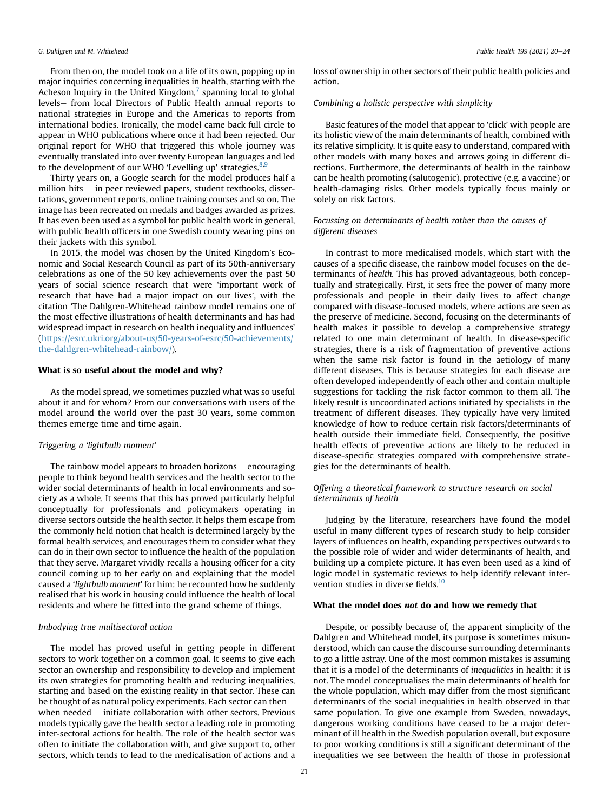#### G. Dahlgren and M. Whitehead Public Health 199 (2021) 20-24

From then on, the model took on a life of its own, popping up in major inquiries concerning inequalities in health, starting with the Acheson Inquiry in the United Kingdom, $<sup>7</sup>$  $<sup>7</sup>$  $<sup>7</sup>$  spanning local to global</sup> levels- from local Directors of Public Health annual reports to national strategies in Europe and the Americas to reports from international bodies. Ironically, the model came back full circle to appear in WHO publications where once it had been rejected. Our original report for WHO that triggered this whole journey was eventually translated into over twenty European languages and led to the development of our WHO 'Levelling up' strategies. $8,9$  $8,9$ 

Thirty years on, a Google search for the model produces half a million hits  $-$  in peer reviewed papers, student textbooks, dissertations, government reports, online training courses and so on. The image has been recreated on medals and badges awarded as prizes. It has even been used as a symbol for public health work in general, with public health officers in one Swedish county wearing pins on their jackets with this symbol.

In 2015, the model was chosen by the United Kingdom's Economic and Social Research Council as part of its 50th-anniversary celebrations as one of the 50 key achievements over the past 50 years of social science research that were 'important work of research that have had a major impact on our lives', with the citation 'The Dahlgren-Whitehead rainbow model remains one of the most effective illustrations of health determinants and has had widespread impact in research on health inequality and influences' ([https://esrc.ukri.org/about-us/50-years-of-esrc/50-achievements/](https://esrc.ukri.org/about-us/50-years-of-esrc/50-achievements/the-dahlgren-whitehead-rainbow/) [the-dahlgren-whitehead-rainbow/\)](https://esrc.ukri.org/about-us/50-years-of-esrc/50-achievements/the-dahlgren-whitehead-rainbow/).

#### What is so useful about the model and why?

As the model spread, we sometimes puzzled what was so useful about it and for whom? From our conversations with users of the model around the world over the past 30 years, some common themes emerge time and time again.

#### Triggering a 'lightbulb moment'

The rainbow model appears to broaden horizons  $-$  encouraging people to think beyond health services and the health sector to the wider social determinants of health in local environments and society as a whole. It seems that this has proved particularly helpful conceptually for professionals and policymakers operating in diverse sectors outside the health sector. It helps them escape from the commonly held notion that health is determined largely by the formal health services, and encourages them to consider what they can do in their own sector to influence the health of the population that they serve. Margaret vividly recalls a housing officer for a city council coming up to her early on and explaining that the model caused a 'lightbulb moment' for him: he recounted how he suddenly realised that his work in housing could influence the health of local residents and where he fitted into the grand scheme of things.

# Imbodying true multisectoral action

The model has proved useful in getting people in different sectors to work together on a common goal. It seems to give each sector an ownership and responsibility to develop and implement its own strategies for promoting health and reducing inequalities, starting and based on the existing reality in that sector. These can be thought of as natural policy experiments. Each sector can then  $$ when needed  $-$  initiate collaboration with other sectors. Previous models typically gave the health sector a leading role in promoting inter-sectoral actions for health. The role of the health sector was often to initiate the collaboration with, and give support to, other sectors, which tends to lead to the medicalisation of actions and a loss of ownership in other sectors of their public health policies and action.

# Combining a holistic perspective with simplicity

Basic features of the model that appear to 'click' with people are its holistic view of the main determinants of health, combined with its relative simplicity. It is quite easy to understand, compared with other models with many boxes and arrows going in different directions. Furthermore, the determinants of health in the rainbow can be health promoting (salutogenic), protective (e.g. a vaccine) or health-damaging risks. Other models typically focus mainly or solely on risk factors.

## Focussing on determinants of health rather than the causes of different diseases

In contrast to more medicalised models, which start with the causes of a specific disease, the rainbow model focuses on the determinants of health. This has proved advantageous, both conceptually and strategically. First, it sets free the power of many more professionals and people in their daily lives to affect change compared with disease-focused models, where actions are seen as the preserve of medicine. Second, focusing on the determinants of health makes it possible to develop a comprehensive strategy related to one main determinant of health. In disease-specific strategies, there is a risk of fragmentation of preventive actions when the same risk factor is found in the aetiology of many different diseases. This is because strategies for each disease are often developed independently of each other and contain multiple suggestions for tackling the risk factor common to them all. The likely result is uncoordinated actions initiated by specialists in the treatment of different diseases. They typically have very limited knowledge of how to reduce certain risk factors/determinants of health outside their immediate field. Consequently, the positive health effects of preventive actions are likely to be reduced in disease-specific strategies compared with comprehensive strategies for the determinants of health.

# Offering a theoretical framework to structure research on social determinants of health

Judging by the literature, researchers have found the model useful in many different types of research study to help consider layers of influences on health, expanding perspectives outwards to the possible role of wider and wider determinants of health, and building up a complete picture. It has even been used as a kind of logic model in systematic reviews to help identify relevant intervention studies in diverse fields.<sup>10</sup>

#### What the model does not do and how we remedy that

Despite, or possibly because of, the apparent simplicity of the Dahlgren and Whitehead model, its purpose is sometimes misunderstood, which can cause the discourse surrounding determinants to go a little astray. One of the most common mistakes is assuming that it is a model of the determinants of inequalities in health: it is not. The model conceptualises the main determinants of health for the whole population, which may differ from the most significant determinants of the social inequalities in health observed in that same population. To give one example from Sweden, nowadays, dangerous working conditions have ceased to be a major determinant of ill health in the Swedish population overall, but exposure to poor working conditions is still a significant determinant of the inequalities we see between the health of those in professional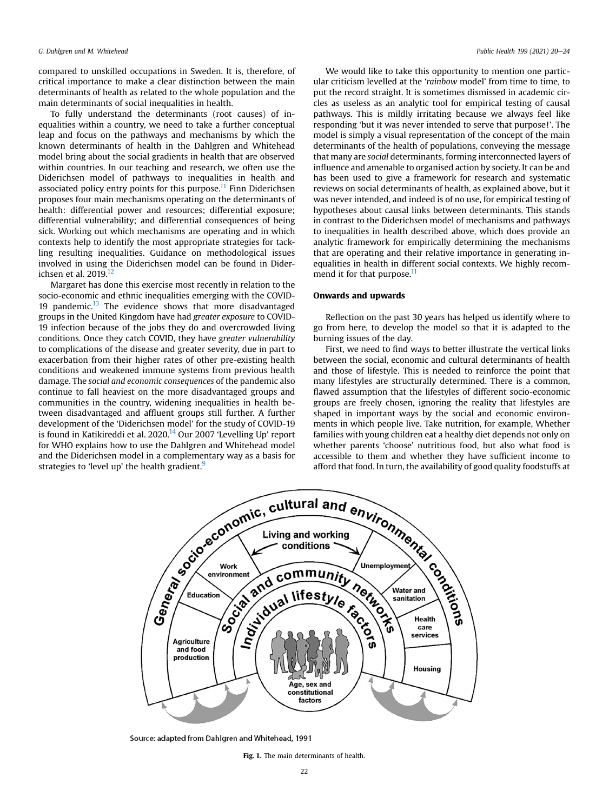compared to unskilled occupations in Sweden. It is, therefore, of critical importance to make a clear distinction between the main determinants of health as related to the whole population and the main determinants of social inequalities in health.

To fully understand the determinants (root causes) of inequalities within a country, we need to take a further conceptual leap and focus on the pathways and mechanisms by which the known determinants of health in the Dahlgren and Whitehead model bring about the social gradients in health that are observed within countries. In our teaching and research, we often use the Diderichsen model of pathways to inequalities in health and associated policy entry points for this purpose.<sup>[11](#page-3-10)</sup> Finn Diderichsen proposes four main mechanisms operating on the determinants of health: differential power and resources; differential exposure; differential vulnerability; and differential consequences of being sick. Working out which mechanisms are operating and in which contexts help to identify the most appropriate strategies for tackling resulting inequalities. Guidance on methodological issues involved in using the Diderichsen model can be found in Diderichsen et al. 2019.<sup>12</sup>

Margaret has done this exercise most recently in relation to the socio-economic and ethnic inequalities emerging with the COVID-19 pandemic. $13$  The evidence shows that more disadvantaged groups in the United Kingdom have had greater exposure to COVID-19 infection because of the jobs they do and overcrowded living conditions. Once they catch COVID, they have greater vulnerability to complications of the disease and greater severity, due in part to exacerbation from their higher rates of other pre-existing health conditions and weakened immune systems from previous health damage. The social and economic consequences of the pandemic also continue to fall heaviest on the more disadvantaged groups and communities in the country, widening inequalities in health between disadvantaged and affluent groups still further. A further development of the 'Diderichsen model' for the study of COVID-19 is found in Katikireddi et al. 2020.<sup>[14](#page-3-13)</sup> Our 2007 'Levelling Up' report for WHO explains how to use the Dahlgren and Whitehead model and the Diderichsen model in a complementary way as a basis for

We would like to take this opportunity to mention one particular criticism levelled at the 'rainbow model' from time to time, to put the record straight. It is sometimes dismissed in academic circles as useless as an analytic tool for empirical testing of causal pathways. This is mildly irritating because we always feel like responding 'but it was never intended to serve that purpose!'. The model is simply a visual representation of the concept of the main determinants of the health of populations, conveying the message that many are social determinants, forming interconnected layers of influence and amenable to organised action by society. It can be and has been used to give a framework for research and systematic reviews on social determinants of health, as explained above, but it was never intended, and indeed is of no use, for empirical testing of hypotheses about causal links between determinants. This stands in contrast to the Diderichsen model of mechanisms and pathways to inequalities in health described above, which does provide an analytic framework for empirically determining the mechanisms that are operating and their relative importance in generating inequalities in health in different social contexts. We highly recommend it for that purpose.<sup>11</sup>

### Onwards and upwards

Reflection on the past 30 years has helped us identify where to go from here, to develop the model so that it is adapted to the burning issues of the day.

First, we need to find ways to better illustrate the vertical links between the social, economic and cultural determinants of health and those of lifestyle. This is needed to reinforce the point that many lifestyles are structurally determined. There is a common, flawed assumption that the lifestyles of different socio-economic groups are freely chosen, ignoring the reality that lifestyles are shaped in important ways by the social and economic environments in which people live. Take nutrition, for example, Whether families with young children eat a healthy diet depends not only on whether parents 'choose' nutritious food, but also what food is accessible to them and whether they have sufficient income to afford that food. In turn, the availability of good quality foodstuffs at

<span id="page-2-0"></span>

Source: adapted from Dahlgren and Whitehead, 1991

Fig. 1. The main determinants of health.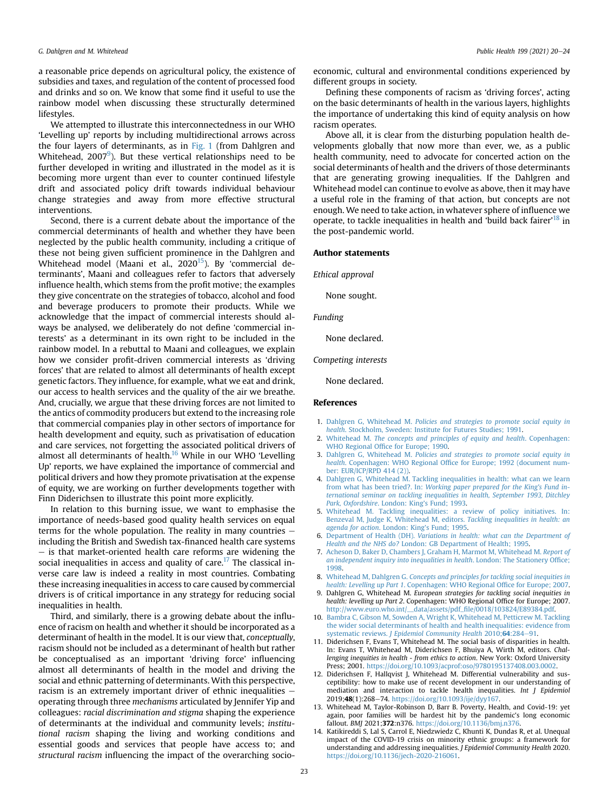a reasonable price depends on agricultural policy, the existence of subsidies and taxes, and regulation of the content of processed food and drinks and so on. We know that some find it useful to use the rainbow model when discussing these structurally determined lifestyles.

We attempted to illustrate this interconnectedness in our WHO 'Levelling up' reports by including multidirectional arrows across the four layers of determinants, as in [Fig. 1](#page-2-0) (from Dahlgren and Whitehead, 2007 $^9$  $^9$ ). But these vertical relationships need to be further developed in writing and illustrated in the model as it is becoming more urgent than ever to counter continued lifestyle drift and associated policy drift towards individual behaviour change strategies and away from more effective structural interventions.

Second, there is a current debate about the importance of the commercial determinants of health and whether they have been neglected by the public health community, including a critique of these not being given sufficient prominence in the Dahlgren and Whitehead model (Maani et al., 2020<sup>15</sup>). By 'commercial determinants', Maani and colleagues refer to factors that adversely influence health, which stems from the profit motive; the examples they give concentrate on the strategies of tobacco, alcohol and food and beverage producers to promote their products. While we acknowledge that the impact of commercial interests should always be analysed, we deliberately do not define 'commercial interests' as a determinant in its own right to be included in the rainbow model. In a rebuttal to Maani and colleagues, we explain how we consider profit-driven commercial interests as 'driving forces' that are related to almost all determinants of health except genetic factors. They influence, for example, what we eat and drink, our access to health services and the quality of the air we breathe. And, crucially, we argue that these driving forces are not limited to the antics of commodity producers but extend to the increasing role that commercial companies play in other sectors of importance for health development and equity, such as privatisation of education and care services, not forgetting the associated political drivers of almost all determinants of health. $16$  While in our WHO 'Levelling Up' reports, we have explained the importance of commercial and political drivers and how they promote privatisation at the expense of equity, we are working on further developments together with Finn Diderichsen to illustrate this point more explicitly.

In relation to this burning issue, we want to emphasise the importance of needs-based good quality health services on equal terms for the whole population. The reality in many countries  $$ including the British and Swedish tax-financed health care systems  $-$  is that market-oriented health care reforms are widening the social inequalities in access and quality of care.<sup>[17](#page-4-2)</sup> The classical inverse care law is indeed a reality in most countries. Combating these increasing inequalities in access to care caused by commercial drivers is of critical importance in any strategy for reducing social inequalities in health.

Third, and similarly, there is a growing debate about the influence of racism on health and whether it should be incorporated as a determinant of health in the model. It is our view that, conceptually, racism should not be included as a determinant of health but rather be conceptualised as an important 'driving force' influencing almost all determinants of health in the model and driving the social and ethnic patterning of determinants. With this perspective, racism is an extremely important driver of ethnic inequalities  $$ operating through three mechanisms articulated by Jennifer Yip and colleagues: racial discrimination and stigma shaping the experience of determinants at the individual and community levels; institutional racism shaping the living and working conditions and essential goods and services that people have access to; and structural racism influencing the impact of the overarching socioeconomic, cultural and environmental conditions experienced by different groups in society.

Defining these components of racism as 'driving forces', acting on the basic determinants of health in the various layers, highlights the importance of undertaking this kind of equity analysis on how racism operates.

Above all, it is clear from the disturbing population health developments globally that now more than ever, we, as a public health community, need to advocate for concerted action on the social determinants of health and the drivers of those determinants that are generating growing inequalities. If the Dahlgren and Whitehead model can continue to evolve as above, then it may have a useful role in the framing of that action, but concepts are not enough. We need to take action, in whatever sphere of influence we operate, to tackle inequalities in health and 'build back fairer' [18](#page-4-3) in the post-pandemic world.

#### Author statements

Ethical approval

None sought.

Funding

None declared.

#### Competing interests

None declared.

## References

- <span id="page-3-0"></span>1. Dahlgren G, Whitehead M. [Policies and strategies to promote social equity in](http://refhub.elsevier.com/S0033-3506(21)00336-X/sref1) health[. Stockholm, Sweden: Institute for Futures Studies; 1991.](http://refhub.elsevier.com/S0033-3506(21)00336-X/sref1)
- <span id="page-3-1"></span>2. Whitehead M. [The concepts and principles of equity and health](http://refhub.elsevier.com/S0033-3506(21)00336-X/sref2). Copenhagen: WHO Regional Offi[ce for Europe; 1990.](http://refhub.elsevier.com/S0033-3506(21)00336-X/sref2)
- <span id="page-3-2"></span>3. Dahlgren G, Whitehead M. [Policies and strategies to promote social equity in](http://refhub.elsevier.com/S0033-3506(21)00336-X/sref3) health. Copenhagen: WHO Regional Offi[ce for Europe; 1992 \(document num](http://refhub.elsevier.com/S0033-3506(21)00336-X/sref3)[ber: EUR/ICP/RPD 414 \(2\)\).](http://refhub.elsevier.com/S0033-3506(21)00336-X/sref3)
- <span id="page-3-3"></span>4. [Dahlgren G, Whitehead M. Tackling inequalities in health: what can we learn](http://refhub.elsevier.com/S0033-3506(21)00336-X/sref4) from what has been tried?. In: [Working paper prepared for the King's Fund in](http://refhub.elsevier.com/S0033-3506(21)00336-X/sref4)[ternational seminar on tackling inequalities in health, September 1993, Ditchley](http://refhub.elsevier.com/S0033-3506(21)00336-X/sref4) [Park, Oxfordshire](http://refhub.elsevier.com/S0033-3506(21)00336-X/sref4). London: King's Fund; 1993.
- <span id="page-3-4"></span>5. [Whitehead M. Tackling inequalities: a review of policy initiatives. In:](http://refhub.elsevier.com/S0033-3506(21)00336-X/sref5) [Benzeval M, Judge K, Whitehead M, editors.](http://refhub.elsevier.com/S0033-3506(21)00336-X/sref5) Tackling inequalities in health: an [agenda for action](http://refhub.elsevier.com/S0033-3506(21)00336-X/sref5). London: King's Fund; 1995.
- <span id="page-3-5"></span>6. Department of Health (DH). [Variations in health: what can the Department of](http://refhub.elsevier.com/S0033-3506(21)00336-X/sref6) Health and the NHS do? [London: GB Department of Health; 1995](http://refhub.elsevier.com/S0033-3506(21)00336-X/sref6).
- <span id="page-3-6"></span>7. [Acheson D, Baker D, Chambers J, Graham H, Marmot M, Whitehead M.](http://refhub.elsevier.com/S0033-3506(21)00336-X/sref7) Report of [an independent inquiry into inequalities in health](http://refhub.elsevier.com/S0033-3506(21)00336-X/sref7). London: The Stationery Office; [1998](http://refhub.elsevier.com/S0033-3506(21)00336-X/sref7).
- <span id="page-3-7"></span>8. Whitehead M, Dahlgren G. [Concepts and principles for tackling social inequities in](http://refhub.elsevier.com/S0033-3506(21)00336-X/sref8) health: Levelling up Part 1[. Copenhagen: WHO Regional Of](http://refhub.elsevier.com/S0033-3506(21)00336-X/sref8)fice for Europe; 2007.
- <span id="page-3-8"></span>9. Dahlgren G, Whitehead M. European strategies for tackling social inequities in health: levelling up Part 2. Copenhagen: WHO Regional Office for Europe; 2007. [http://www.euro.who.int/\\_\\_data/assets/pdf\\_](http://www.euro.who.int/__data/assets/pdf_file/0018/103824/E89384.pdf)file/0018/103824/E89384.pdf.
- <span id="page-3-9"></span>10. [Bambra C, Gibson M, Sowden A, Wright K, Whitehead M, Petticrew M. Tackling](http://refhub.elsevier.com/S0033-3506(21)00336-X/sref10) [the wider social determinants of health and health inequalities: evidence from](http://refhub.elsevier.com/S0033-3506(21)00336-X/sref10) systematic reviews. [J Epidemiol Community Health](http://refhub.elsevier.com/S0033-3506(21)00336-X/sref10) 2010;64:284–[91](http://refhub.elsevier.com/S0033-3506(21)00336-X/sref10).
- <span id="page-3-10"></span>11. Diderichsen F, Evans T, Whitehead M. The social basis of disparities in health. In: Evans T, Whitehead M, Diderichsen F, Bhuiya A, Wirth M, editors. Challenging inequities in health - from ethics to action. New York: Oxford University Press; 2001. <https://doi.org/10.1093/acprof:oso/9780195137408.003.0002>.
- <span id="page-3-11"></span>12. Diderichsen F, Hallqvist J, Whitehead M. Differential vulnerability and susceptibility: how to make use of recent development in our understanding of mediation and interaction to tackle health inequalities. Int J Epidemiol 2019;48(1):268-74. <https://doi.org/10.1093/ije/dyy167>.
- <span id="page-3-12"></span>13. Whitehead M, Taylor-Robinson D, Barr B. Poverty, Health, and Covid-19: yet again, poor families will be hardest hit by the pandemic's long economic fallout. BMJ 2021;372:n376. <https://doi.org/10.1136/bmj.n376>.
- <span id="page-3-13"></span>14. Katikireddi S, Lal S, Carrol E, Niedzwiedz C, Khunti K, Dundas R, et al. Unequal impact of the COVID-19 crisis on minority ethnic groups: a framework for understanding and addressing inequalities. J Epidemiol Community Health 2020. <https://doi.org/10.1136/jech-2020-216061>.